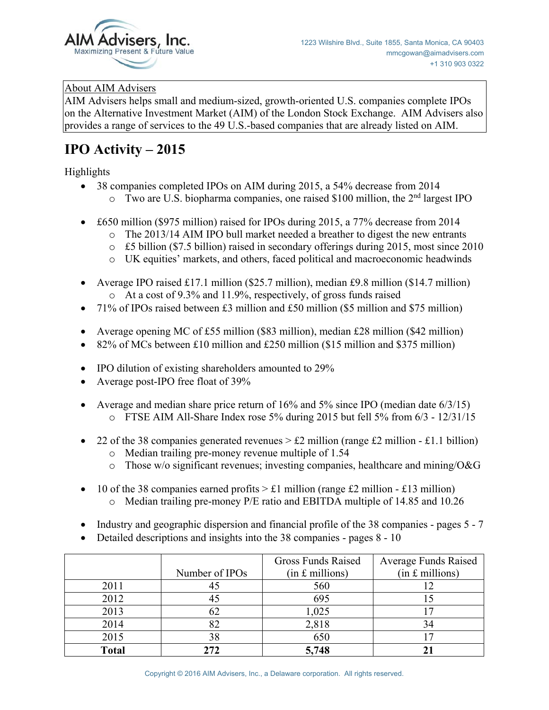

## About AIM Advisers

AIM Advisers helps small and medium-sized, growth-oriented U.S. companies complete IPOs on the Alternative Investment Market (AIM) of the London Stock Exchange. AIM Advisers also provides a range of services to the 49 U.S.-based companies that are already listed on AIM.

## **IPO Activity – 2015**

Highlights

- $\bullet$  38 companies completed IPOs on AIM during 2015, a 54% decrease from 2014
	- $\circ$  Two are U.S. biopharma companies, one raised \$100 million, the 2<sup>nd</sup> largest IPO
- $\bullet$  £650 million (\$975 million) raised for IPOs during 2015, a 77% decrease from 2014
	- $\circ$  The 2013/14 AIM IPO bull market needed a breather to digest the new entrants
	- o £5 billion (\$7.5 billion) raised in secondary offerings during 2015, most since 2010
	- o UK equities' markets, and others, faced political and macroeconomic headwinds
- Average IPO raised £17.1 million (\$25.7 million), median £9.8 million (\$14.7 million) o At a cost of 9.3% and 11.9%, respectively, of gross funds raised
- x 71% of IPOs raised between £3 million and £50 million (\$5 million and \$75 million)
- Average opening MC of £55 million (\$83 million), median £28 million (\$42 million)
- 82% of MCs between £10 million and £250 million (\$15 million and \$375 million)
- $\bullet$  IPO dilution of existing shareholders amounted to 29%
- Average post-IPO free float of  $39\%$
- Average and median share price return of  $16\%$  and  $5\%$  since IPO (median date  $6/3/15$ )
	- o FTSE AIM All-Share Index rose 5% during 2015 but fell 5% from 6/3 12/31/15
- 22 of the 38 companies generated revenues  $> \text{\pounds}2$  million (range  $\text{\pounds}2$  million  $\text{\pounds}1.1$  billion)
	- o Median trailing pre-money revenue multiple of 1.54
	- $\circ$  Those w/o significant revenues; investing companies, healthcare and mining/O&G
- 10 of the 38 companies earned profits  $> \pounds 1$  million (range £2 million £13 million)  $\circ$  Median trailing pre-money P/E ratio and EBITDA multiple of 14.85 and 10.26
- Industry and geographic dispersion and financial profile of the 38 companies pages 5 7
- Detailed descriptions and insights into the 38 companies pages  $8 10$

|              |                | Gross Funds Raised | <b>Average Funds Raised</b> |
|--------------|----------------|--------------------|-----------------------------|
|              | Number of IPOs | $(in £$ millions)  | $(in f.$ millions)          |
| 2011         | 4J             | 560                |                             |
| 2012         |                | 695                |                             |
| 2013         | 62             | 1,025              |                             |
| 2014         |                | 2,818              |                             |
| 2015         | 38             | 650                |                             |
| <b>Total</b> | 272            | 5,748              |                             |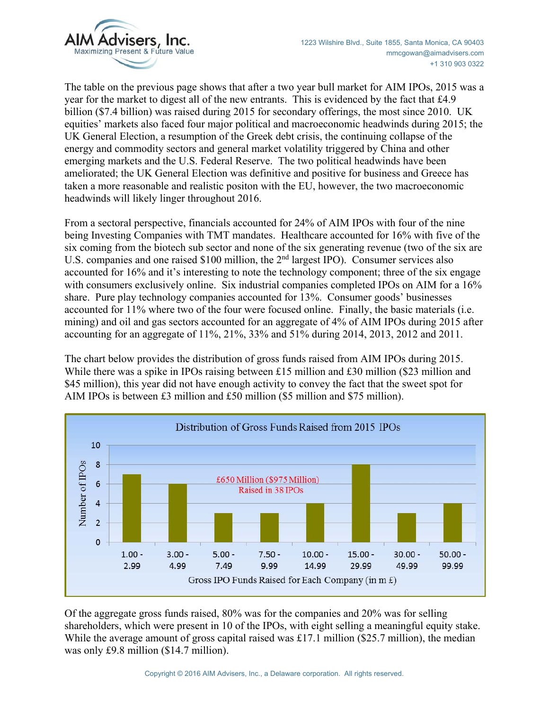

The table on the previous page shows that after a two year bull market for AIM IPOs, 2015 was a year for the market to digest all of the new entrants. This is evidenced by the fact that £4.9 billion (\$7.4 billion) was raised during 2015 for secondary offerings, the most since 2010. UK equities' markets also faced four major political and macroeconomic headwinds during 2015; the UK General Election, a resumption of the Greek debt crisis, the continuing collapse of the energy and commodity sectors and general market volatility triggered by China and other emerging markets and the U.S. Federal Reserve. The two political headwinds have been ameliorated; the UK General Election was definitive and positive for business and Greece has taken a more reasonable and realistic positon with the EU, however, the two macroeconomic headwinds will likely linger throughout 2016.

From a sectoral perspective, financials accounted for 24% of AIM IPOs with four of the nine being Investing Companies with TMT mandates. Healthcare accounted for 16% with five of the six coming from the biotech sub sector and none of the six generating revenue (two of the six are U.S. companies and one raised \$100 million, the 2nd largest IPO). Consumer services also accounted for 16% and it's interesting to note the technology component; three of the six engage with consumers exclusively online. Six industrial companies completed IPOs on AIM for a 16% share. Pure play technology companies accounted for 13%. Consumer goods' businesses accounted for 11% where two of the four were focused online. Finally, the basic materials (i.e. mining) and oil and gas sectors accounted for an aggregate of 4% of AIM IPOs during 2015 after accounting for an aggregate of 11%, 21%, 33% and 51% during 2014, 2013, 2012 and 2011.

The chart below provides the distribution of gross funds raised from AIM IPOs during 2015. While there was a spike in IPOs raising between £15 million and £30 million (\$23 million and \$45 million), this year did not have enough activity to convey the fact that the sweet spot for AIM IPOs is between £3 million and £50 million (\$5 million and \$75 million).



Of the aggregate gross funds raised, 80% was for the companies and 20% was for selling shareholders, which were present in 10 of the IPOs, with eight selling a meaningful equity stake. While the average amount of gross capital raised was £17.1 million (\$25.7 million), the median was only £9.8 million (\$14.7 million).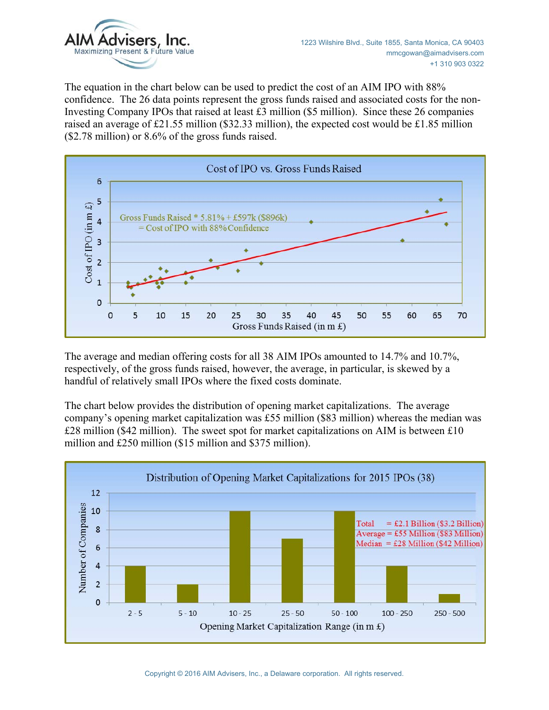

The equation in the chart below can be used to predict the cost of an AIM IPO with 88% confidence. The 26 data points represent the gross funds raised and associated costs for the non-Investing Company IPOs that raised at least £3 million (\$5 million). Since these 26 companies raised an average of £21.55 million (\$32.33 million), the expected cost would be £1.85 million (\$2.78 million) or 8.6% of the gross funds raised.



The average and median offering costs for all 38 AIM IPOs amounted to 14.7% and 10.7%, respectively, of the gross funds raised, however, the average, in particular, is skewed by a handful of relatively small IPOs where the fixed costs dominate.

The chart below provides the distribution of opening market capitalizations. The average company's opening market capitalization was £55 million (\$83 million) whereas the median was £28 million (\$42 million). The sweet spot for market capitalizations on AIM is between £10 million and £250 million (\$15 million and \$375 million).

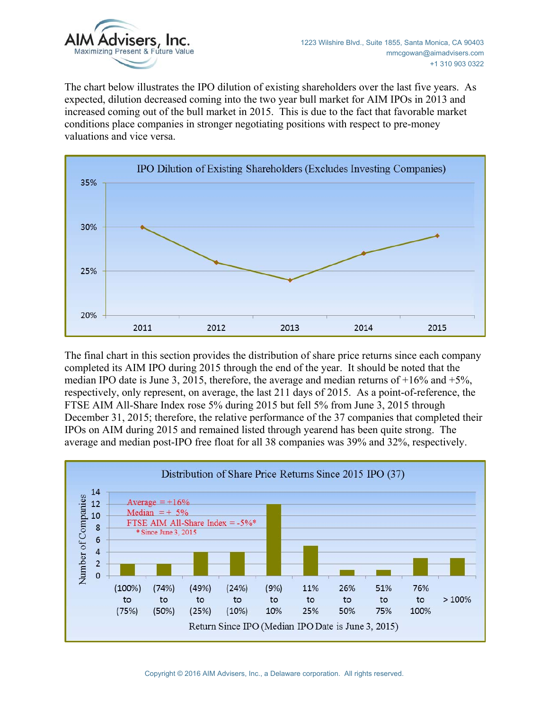

The chart below illustrates the IPO dilution of existing shareholders over the last five years. As expected, dilution decreased coming into the two year bull market for AIM IPOs in 2013 and increased coming out of the bull market in 2015. This is due to the fact that favorable market conditions place companies in stronger negotiating positions with respect to pre-money valuations and vice versa.



The final chart in this section provides the distribution of share price returns since each company completed its AIM IPO during 2015 through the end of the year. It should be noted that the median IPO date is June 3, 2015, therefore, the average and median returns of  $+16\%$  and  $+5\%$ . respectively, only represent, on average, the last 211 days of 2015. As a point-of-reference, the FTSE AIM All-Share Index rose 5% during 2015 but fell 5% from June 3, 2015 through December 31, 2015; therefore, the relative performance of the 37 companies that completed their IPOs on AIM during 2015 and remained listed through yearend has been quite strong. The average and median post-IPO free float for all 38 companies was 39% and 32%, respectively.

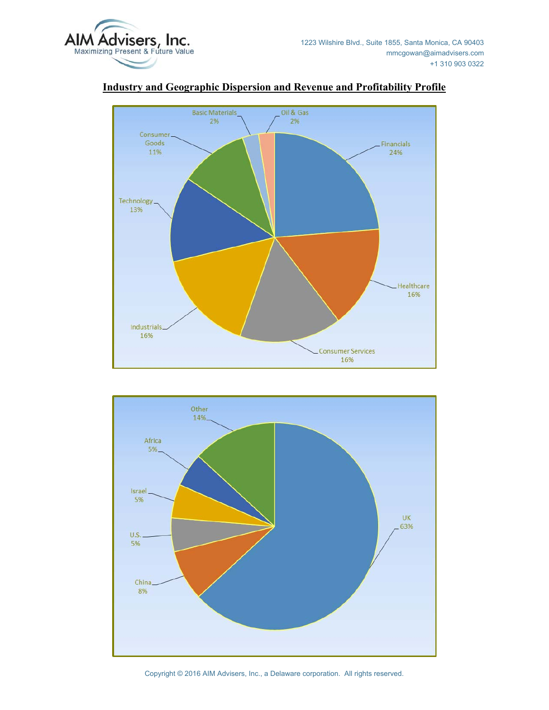



## **Industry and Geographic Dispersion and Revenue and Profitability Profile**



Copyright © 2016 AIM Advisers, Inc., a Delaware corporation. All rights reserved.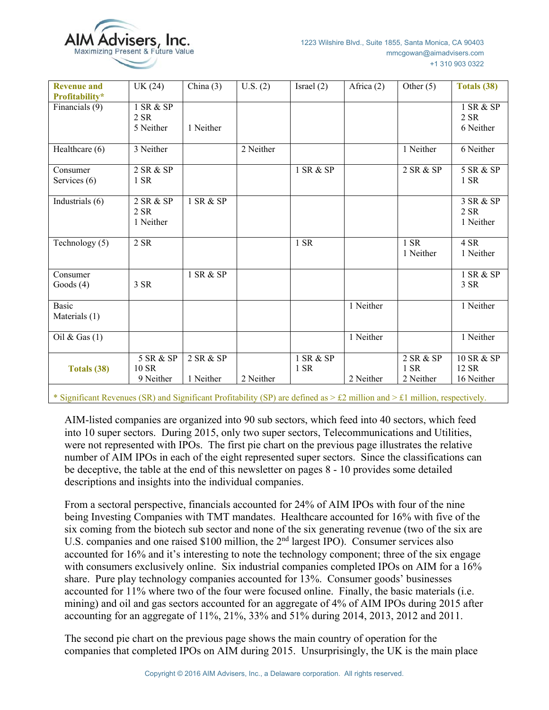

| <b>Revenue and</b><br>Profitability* | UK (24)                         | China $(3)$            | U.S. (2)  | Israel $(2)$      | Africa $(2)$ | Other $(5)$                      | Totals (38)                       |
|--------------------------------------|---------------------------------|------------------------|-----------|-------------------|--------------|----------------------------------|-----------------------------------|
| Financials (9)                       | 1 SR & SP<br>2 SR<br>5 Neither  | 1 Neither              |           |                   |              |                                  | 1 SR & SP<br>2 SR<br>6 Neither    |
| Healthcare (6)                       | 3 Neither                       |                        | 2 Neither |                   |              | 1 Neither                        | 6 Neither                         |
| Consumer<br>Services (6)             | 2 SR & SP<br>1 SR               |                        |           | 1 SR & SP         |              | 2 SR & SP                        | 5 SR & SP<br>1 SR                 |
| Industrials $\overline{(6)}$         | 2 SR & SP<br>2 SR<br>1 Neither  | 1 SR & SP              |           |                   |              |                                  | 3 SR & SP<br>2 SR<br>1 Neither    |
| Technology (5)                       | 2 SR                            |                        |           | 1 SR              |              | 1 SR<br>1 Neither                | 4 SR<br>1 Neither                 |
| Consumer<br>Goods $(4)$              | 3 SR                            | 1 SR & SP              |           |                   |              |                                  | 1 SR & SP<br>3 SR                 |
| <b>Basic</b><br>Materials (1)        |                                 |                        |           |                   | 1 Neither    |                                  | 1 Neither                         |
| Oil & Gas $(1)$                      |                                 |                        |           |                   | 1 Neither    |                                  | 1 Neither                         |
| Totals (38)                          | 5 SR & SP<br>10 SR<br>9 Neither | 2 SR & SP<br>1 Neither | 2 Neither | 1 SR & SP<br>1 SR | 2 Neither    | 2 SR & SP<br>$1$ SR<br>2 Neither | 10 SR & SP<br>12 SR<br>16 Neither |

\* Significant Revenues (SR) and Significant Profitability (SP) are defined as > £2 million and > £1 million, respectively.

AIM-listed companies are organized into 90 sub sectors, which feed into 40 sectors, which feed into 10 super sectors. During 2015, only two super sectors, Telecommunications and Utilities, were not represented with IPOs. The first pie chart on the previous page illustrates the relative number of AIM IPOs in each of the eight represented super sectors. Since the classifications can be deceptive, the table at the end of this newsletter on pages 8 - 10 provides some detailed descriptions and insights into the individual companies.

From a sectoral perspective, financials accounted for 24% of AIM IPOs with four of the nine being Investing Companies with TMT mandates. Healthcare accounted for 16% with five of the six coming from the biotech sub sector and none of the six generating revenue (two of the six are U.S. companies and one raised \$100 million, the 2nd largest IPO). Consumer services also accounted for 16% and it's interesting to note the technology component; three of the six engage with consumers exclusively online. Six industrial companies completed IPOs on AIM for a 16% share. Pure play technology companies accounted for 13%. Consumer goods' businesses accounted for 11% where two of the four were focused online. Finally, the basic materials (i.e. mining) and oil and gas sectors accounted for an aggregate of 4% of AIM IPOs during 2015 after accounting for an aggregate of 11%, 21%, 33% and 51% during 2014, 2013, 2012 and 2011.

The second pie chart on the previous page shows the main country of operation for the companies that completed IPOs on AIM during 2015. Unsurprisingly, the UK is the main place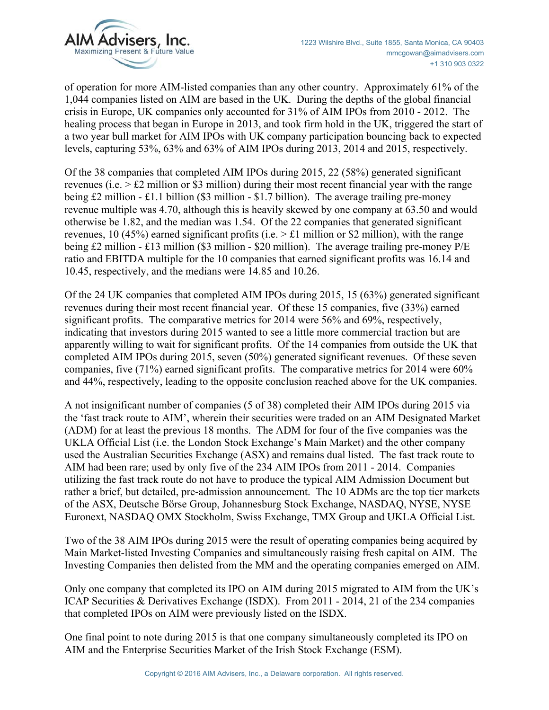

of operation for more AIM-listed companies than any other country. Approximately 61% of the 1,044 companies listed on AIM are based in the UK. During the depths of the global financial crisis in Europe, UK companies only accounted for 31% of AIM IPOs from 2010 - 2012. The healing process that began in Europe in 2013, and took firm hold in the UK, triggered the start of a two year bull market for AIM IPOs with UK company participation bouncing back to expected levels, capturing 53%, 63% and 63% of AIM IPOs during 2013, 2014 and 2015, respectively.

Of the 38 companies that completed AIM IPOs during 2015, 22 (58%) generated significant revenues (i.e. > £2 million or \$3 million) during their most recent financial year with the range being £2 million - £1.1 billion (\$3 million - \$1.7 billion). The average trailing pre-money revenue multiple was 4.70, although this is heavily skewed by one company at 63.50 and would otherwise be 1.82, and the median was 1.54. Of the 22 companies that generated significant revenues, 10 (45%) earned significant profits (i.e.  $> \pounds 1$  million or \$2 million), with the range being £2 million - £13 million (\$3 million - \$20 million). The average trailing pre-money P/E ratio and EBITDA multiple for the 10 companies that earned significant profits was 16.14 and 10.45, respectively, and the medians were 14.85 and 10.26.

Of the 24 UK companies that completed AIM IPOs during 2015, 15 (63%) generated significant revenues during their most recent financial year. Of these 15 companies, five (33%) earned significant profits. The comparative metrics for 2014 were 56% and 69%, respectively, indicating that investors during 2015 wanted to see a little more commercial traction but are apparently willing to wait for significant profits. Of the 14 companies from outside the UK that completed AIM IPOs during 2015, seven (50%) generated significant revenues. Of these seven companies, five (71%) earned significant profits. The comparative metrics for 2014 were 60% and 44%, respectively, leading to the opposite conclusion reached above for the UK companies.

A not insignificant number of companies (5 of 38) completed their AIM IPOs during 2015 via the 'fast track route to AIM', wherein their securities were traded on an AIM Designated Market (ADM) for at least the previous 18 months. The ADM for four of the five companies was the UKLA Official List (i.e. the London Stock Exchange's Main Market) and the other company used the Australian Securities Exchange (ASX) and remains dual listed. The fast track route to AIM had been rare; used by only five of the 234 AIM IPOs from 2011 - 2014. Companies utilizing the fast track route do not have to produce the typical AIM Admission Document but rather a brief, but detailed, pre-admission announcement. The 10 ADMs are the top tier markets of the ASX, Deutsche Börse Group, Johannesburg Stock Exchange, NASDAQ, NYSE, NYSE Euronext, NASDAQ OMX Stockholm, Swiss Exchange, TMX Group and UKLA Official List.

Two of the 38 AIM IPOs during 2015 were the result of operating companies being acquired by Main Market-listed Investing Companies and simultaneously raising fresh capital on AIM. The Investing Companies then delisted from the MM and the operating companies emerged on AIM.

Only one company that completed its IPO on AIM during 2015 migrated to AIM from the UK's ICAP Securities & Derivatives Exchange (ISDX). From 2011 - 2014, 21 of the 234 companies that completed IPOs on AIM were previously listed on the ISDX.

One final point to note during 2015 is that one company simultaneously completed its IPO on AIM and the Enterprise Securities Market of the Irish Stock Exchange (ESM).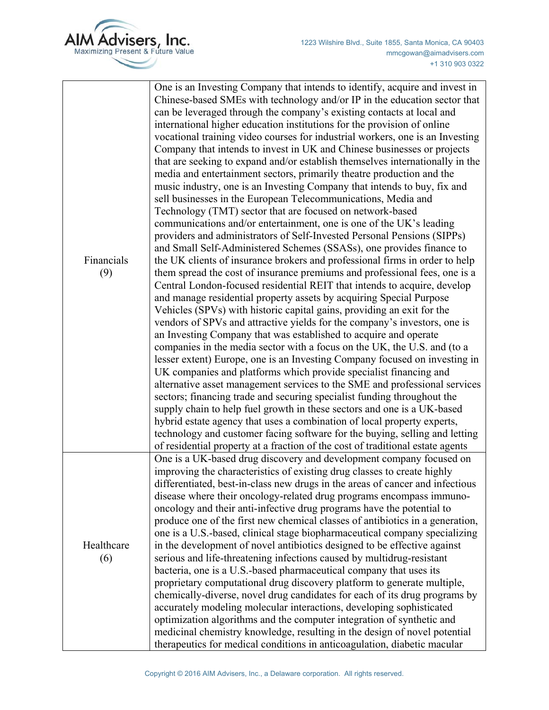

| Financials<br>(9) | One is an Investing Company that intends to identify, acquire and invest in<br>Chinese-based SMEs with technology and/or IP in the education sector that<br>can be leveraged through the company's existing contacts at local and<br>international higher education institutions for the provision of online<br>vocational training video courses for industrial workers, one is an Investing<br>Company that intends to invest in UK and Chinese businesses or projects<br>that are seeking to expand and/or establish themselves internationally in the<br>media and entertainment sectors, primarily theatre production and the<br>music industry, one is an Investing Company that intends to buy, fix and<br>sell businesses in the European Telecommunications, Media and<br>Technology (TMT) sector that are focused on network-based<br>communications and/or entertainment, one is one of the UK's leading<br>providers and administrators of Self-Invested Personal Pensions (SIPPs)<br>and Small Self-Administered Schemes (SSASs), one provides finance to<br>the UK clients of insurance brokers and professional firms in order to help<br>them spread the cost of insurance premiums and professional fees, one is a<br>Central London-focused residential REIT that intends to acquire, develop<br>and manage residential property assets by acquiring Special Purpose<br>Vehicles (SPVs) with historic capital gains, providing an exit for the<br>vendors of SPVs and attractive yields for the company's investors, one is<br>an Investing Company that was established to acquire and operate<br>companies in the media sector with a focus on the UK, the U.S. and (to a<br>lesser extent) Europe, one is an Investing Company focused on investing in<br>UK companies and platforms which provide specialist financing and<br>alternative asset management services to the SME and professional services<br>sectors; financing trade and securing specialist funding throughout the<br>supply chain to help fuel growth in these sectors and one is a UK-based<br>hybrid estate agency that uses a combination of local property experts,<br>technology and customer facing software for the buying, selling and letting<br>of residential property at a fraction of the cost of traditional estate agents |
|-------------------|----------------------------------------------------------------------------------------------------------------------------------------------------------------------------------------------------------------------------------------------------------------------------------------------------------------------------------------------------------------------------------------------------------------------------------------------------------------------------------------------------------------------------------------------------------------------------------------------------------------------------------------------------------------------------------------------------------------------------------------------------------------------------------------------------------------------------------------------------------------------------------------------------------------------------------------------------------------------------------------------------------------------------------------------------------------------------------------------------------------------------------------------------------------------------------------------------------------------------------------------------------------------------------------------------------------------------------------------------------------------------------------------------------------------------------------------------------------------------------------------------------------------------------------------------------------------------------------------------------------------------------------------------------------------------------------------------------------------------------------------------------------------------------------------------------------------------------------------------------------------------------------------------------------------------------------------------------------------------------------------------------------------------------------------------------------------------------------------------------------------------------------------------------------------------------------------------------------------------------------------------------------------------------------------------------------------------------|
| Healthcare<br>(6) | One is a UK-based drug discovery and development company focused on<br>improving the characteristics of existing drug classes to create highly<br>differentiated, best-in-class new drugs in the areas of cancer and infectious<br>disease where their oncology-related drug programs encompass immuno-<br>oncology and their anti-infective drug programs have the potential to<br>produce one of the first new chemical classes of antibiotics in a generation,<br>one is a U.S.-based, clinical stage biopharmaceutical company specializing<br>in the development of novel antibiotics designed to be effective against<br>serious and life-threatening infections caused by multidrug-resistant<br>bacteria, one is a U.S.-based pharmaceutical company that uses its<br>proprietary computational drug discovery platform to generate multiple,<br>chemically-diverse, novel drug candidates for each of its drug programs by<br>accurately modeling molecular interactions, developing sophisticated<br>optimization algorithms and the computer integration of synthetic and<br>medicinal chemistry knowledge, resulting in the design of novel potential<br>therapeutics for medical conditions in anticoagulation, diabetic macular                                                                                                                                                                                                                                                                                                                                                                                                                                                                                                                                                                                                                                                                                                                                                                                                                                                                                                                                                                                                                                                                                    |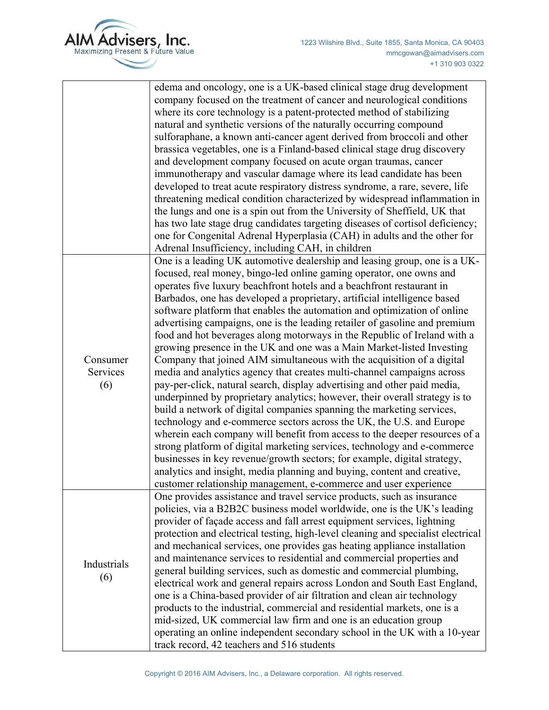| AIM Advisers, Inc. |                   |
|--------------------|-------------------|
|                    | edema and oncolog |

|                             | edema and oncology, one is a UK-based clinical stage drug development<br>company focused on the treatment of cancer and neurological conditions<br>where its core technology is a patent-protected method of stabilizing<br>natural and synthetic versions of the naturally occurring compound<br>sulforaphane, a known anti-cancer agent derived from broccoli and other<br>brassica vegetables, one is a Finland-based clinical stage drug discovery<br>and development company focused on acute organ traumas, cancer<br>immunotherapy and vascular damage where its lead candidate has been<br>developed to treat acute respiratory distress syndrome, a rare, severe, life<br>threatening medical condition characterized by widespread inflammation in<br>the lungs and one is a spin out from the University of Sheffield, UK that<br>has two late stage drug candidates targeting diseases of cortisol deficiency;<br>one for Congenital Adrenal Hyperplasia (CAH) in adults and the other for<br>Adrenal Insufficiency, including CAH, in children                                                                                                                                                                                                                                                                                                                                                                                                               |
|-----------------------------|---------------------------------------------------------------------------------------------------------------------------------------------------------------------------------------------------------------------------------------------------------------------------------------------------------------------------------------------------------------------------------------------------------------------------------------------------------------------------------------------------------------------------------------------------------------------------------------------------------------------------------------------------------------------------------------------------------------------------------------------------------------------------------------------------------------------------------------------------------------------------------------------------------------------------------------------------------------------------------------------------------------------------------------------------------------------------------------------------------------------------------------------------------------------------------------------------------------------------------------------------------------------------------------------------------------------------------------------------------------------------------------------------------------------------------------------------------------------------|
| Consumer<br>Services<br>(6) | One is a leading UK automotive dealership and leasing group, one is a UK-<br>focused, real money, bingo-led online gaming operator, one owns and<br>operates five luxury beachfront hotels and a beachfront restaurant in<br>Barbados, one has developed a proprietary, artificial intelligence based<br>software platform that enables the automation and optimization of online<br>advertising campaigns, one is the leading retailer of gasoline and premium<br>food and hot beverages along motorways in the Republic of Ireland with a<br>growing presence in the UK and one was a Main Market-listed Investing<br>Company that joined AIM simultaneous with the acquisition of a digital<br>media and analytics agency that creates multi-channel campaigns across<br>pay-per-click, natural search, display advertising and other paid media,<br>underpinned by proprietary analytics; however, their overall strategy is to<br>build a network of digital companies spanning the marketing services,<br>technology and e-commerce sectors across the UK, the U.S. and Europe<br>wherein each company will benefit from access to the deeper resources of a<br>strong platform of digital marketing services, technology and e-commerce<br>businesses in key revenue/growth sectors; for example, digital strategy,<br>analytics and insight, media planning and buying, content and creative,<br>customer relationship management, e-commerce and user experience |
| Industrials<br>(6)          | One provides assistance and travel service products, such as insurance<br>policies, via a B2B2C business model worldwide, one is the UK's leading<br>provider of façade access and fall arrest equipment services, lightning<br>protection and electrical testing, high-level cleaning and specialist electrical<br>and mechanical services, one provides gas heating appliance installation<br>and maintenance services to residential and commercial properties and<br>general building services, such as domestic and commercial plumbing,<br>electrical work and general repairs across London and South East England,<br>one is a China-based provider of air filtration and clean air technology<br>products to the industrial, commercial and residential markets, one is a<br>mid-sized, UK commercial law firm and one is an education group<br>operating an online independent secondary school in the UK with a 10-year<br>track record, 42 teachers and 516 students                                                                                                                                                                                                                                                                                                                                                                                                                                                                                          |